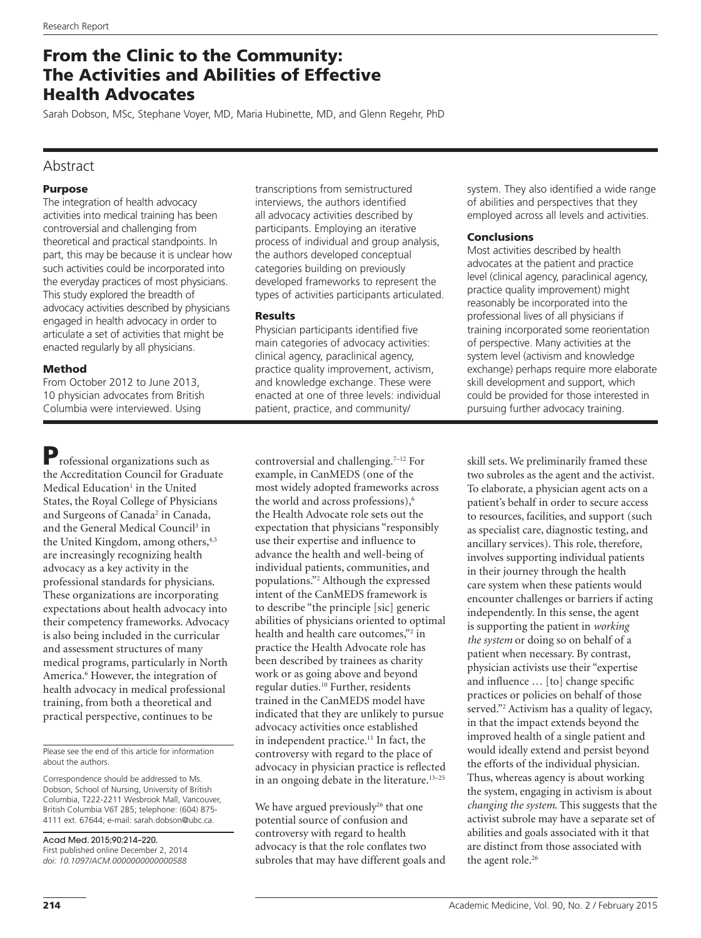# From the Clinic to the Community: The Activities and Abilities of Effective Health Advocates

Sarah Dobson, MSc, Stephane Voyer, MD, Maria Hubinette, MD, and Glenn Regehr, PhD

### Abstract

#### Purpose

The integration of health advocacy activities into medical training has been controversial and challenging from theoretical and practical standpoints. In part, this may be because it is unclear how such activities could be incorporated into the everyday practices of most physicians. This study explored the breadth of advocacy activities described by physicians engaged in health advocacy in order to articulate a set of activities that might be enacted regularly by all physicians.

#### Method

From October 2012 to June 2013, 10 physician advocates from British Columbia were interviewed. Using

transcriptions from semistructured interviews, the authors identified all advocacy activities described by participants. Employing an iterative process of individual and group analysis, the authors developed conceptual categories building on previously developed frameworks to represent the types of activities participants articulated.

#### Results

Physician participants identified five main categories of advocacy activities: clinical agency, paraclinical agency, practice quality improvement, activism, and knowledge exchange. These were enacted at one of three levels: individual patient, practice, and community/

system. They also identified a wide range of abilities and perspectives that they employed across all levels and activities.

#### **Conclusions**

Most activities described by health advocates at the patient and practice level (clinical agency, paraclinical agency, practice quality improvement) might reasonably be incorporated into the professional lives of all physicians if training incorporated some reorientation of perspective. Many activities at the system level (activism and knowledge exchange) perhaps require more elaborate skill development and support, which could be provided for those interested in pursuing further advocacy training.

Professional organizations such as the Accreditation Council for Graduate Medical Education<sup>1</sup> in the United States, the Royal College of Physicians and Surgeons of Canada<sup>2</sup> in Canada, and the General Medical Council<sup>3</sup> in the United Kingdom, among others,<sup>4,5</sup> are increasingly recognizing health advocacy as a key activity in the professional standards for physicians. These organizations are incorporating expectations about health advocacy into their competency frameworks. Advocacy is also being included in the curricular and assessment structures of many medical programs, particularly in North America.<sup>6</sup> However, the integration of health advocacy in medical professional training, from both a theoretical and practical perspective, continues to be

Please see the end of this article for information about the authors.

Correspondence should be addressed to Ms. Dobson, School of Nursing, University of British Columbia, T222-2211 Wesbrook Mall, Vancouver, British Columbia V6T 2B5; telephone: (604) 875- 4111 ext. 67644; e-mail: [sarah.dobson@ubc.ca.](mailto:sarah.dobson@ubc.ca)

Acad Med. 2015;90:214–220. First published online December 2, 2014 *doi: 10.1097/ACM.0000000000000588*

controversial and challenging.<sup>7-12</sup> For example, in CanMEDS (one of the most widely adopted frameworks across the world and across professions),<sup>6</sup> the Health Advocate role sets out the expectation that physicians "responsibly use their expertise and influence to advance the health and well-being of individual patients, communities, and populations."2 Although the expressed intent of the CanMEDS framework is to describe "the principle [sic] generic abilities of physicians oriented to optimal health and health care outcomes,"<sup>2</sup> in practice the Health Advocate role has been described by trainees as charity work or as going above and beyond regular duties.10 Further, residents trained in the CanMEDS model have indicated that they are unlikely to pursue advocacy activities once established in independent practice.<sup>11</sup> In fact, the controversy with regard to the place of advocacy in physician practice is reflected in an ongoing debate in the literature.13–25

We have argued previously<sup>26</sup> that one potential source of confusion and controversy with regard to health advocacy is that the role conflates two subroles that may have different goals and skill sets. We preliminarily framed these two subroles as the agent and the activist. To elaborate, a physician agent acts on a patient's behalf in order to secure access to resources, facilities, and support (such as specialist care, diagnostic testing, and ancillary services). This role, therefore, involves supporting individual patients in their journey through the health care system when these patients would encounter challenges or barriers if acting independently. In this sense, the agent is supporting the patient in *working the system* or doing so on behalf of a patient when necessary. By contrast, physician activists use their "expertise and influence … [to] change specific practices or policies on behalf of those served."<sup>2</sup> Activism has a quality of legacy, in that the impact extends beyond the improved health of a single patient and would ideally extend and persist beyond the efforts of the individual physician. Thus, whereas agency is about working the system, engaging in activism is about *changing the system*. This suggests that the activist subrole may have a separate set of abilities and goals associated with it that are distinct from those associated with the agent role.<sup>26</sup>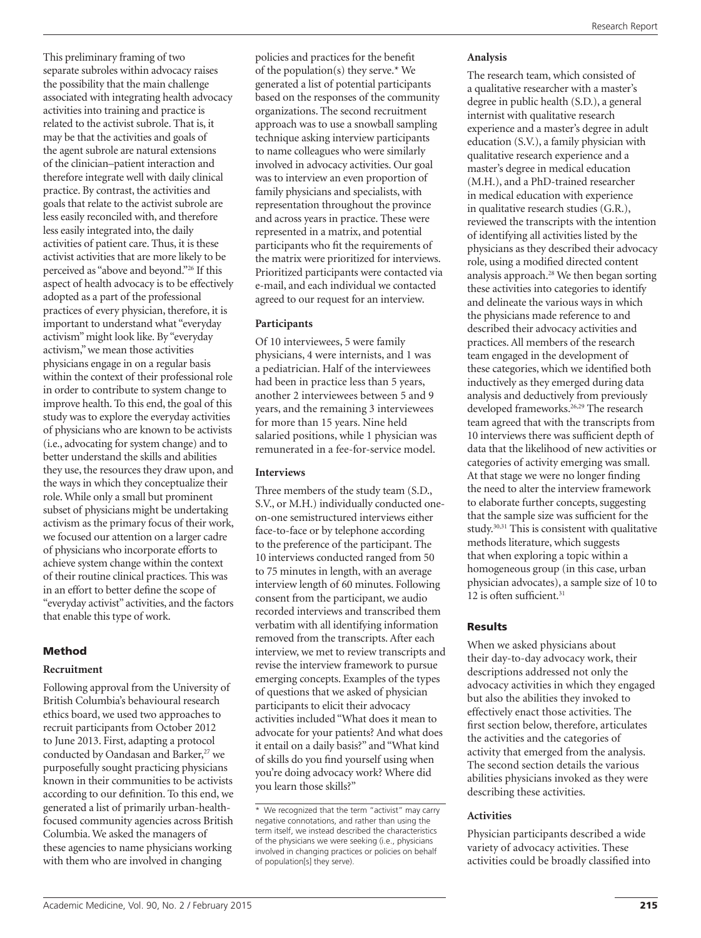This preliminary framing of two separate subroles within advocacy raises the possibility that the main challenge associated with integrating health advocacy activities into training and practice is related to the activist subrole. That is, it may be that the activities and goals of the agent subrole are natural extensions of the clinician–patient interaction and therefore integrate well with daily clinical practice. By contrast, the activities and goals that relate to the activist subrole are less easily reconciled with, and therefore less easily integrated into, the daily activities of patient care. Thus, it is these activist activities that are more likely to be perceived as "above and beyond."26 If this aspect of health advocacy is to be effectively adopted as a part of the professional practices of every physician, therefore, it is important to understand what "everyday activism" might look like. By "everyday activism," we mean those activities physicians engage in on a regular basis within the context of their professional role in order to contribute to system change to improve health. To this end, the goal of this study was to explore the everyday activities of physicians who are known to be activists (i.e., advocating for system change) and to better understand the skills and abilities they use, the resources they draw upon, and the ways in which they conceptualize their role. While only a small but prominent subset of physicians might be undertaking activism as the primary focus of their work, we focused our attention on a larger cadre of physicians who incorporate efforts to achieve system change within the context of their routine clinical practices. This was in an effort to better define the scope of "everyday activist" activities, and the factors that enable this type of work.

## Method

## **Recruitment**

Following approval from the University of British Columbia's behavioural research ethics board, we used two approaches to recruit participants from October 2012 to June 2013. First, adapting a protocol conducted by Oandasan and Barker,<sup>27</sup> we purposefully sought practicing physicians known in their communities to be activists according to our definition. To this end, we generated a list of primarily urban-healthfocused community agencies across British Columbia. We asked the managers of these agencies to name physicians working with them who are involved in changing

policies and practices for the benefit of the population(s) they serve.\* We generated a list of potential participants based on the responses of the community organizations. The second recruitment approach was to use a snowball sampling technique asking interview participants to name colleagues who were similarly involved in advocacy activities. Our goal was to interview an even proportion of family physicians and specialists, with representation throughout the province and across years in practice. These were represented in a matrix, and potential participants who fit the requirements of the matrix were prioritized for interviews. Prioritized participants were contacted via e-mail, and each individual we contacted agreed to our request for an interview.

## **Participants**

Of 10 interviewees, 5 were family physicians, 4 were internists, and 1 was a pediatrician. Half of the interviewees had been in practice less than 5 years, another 2 interviewees between 5 and 9 years, and the remaining 3 interviewees for more than 15 years. Nine held salaried positions, while 1 physician was remunerated in a fee-for-service model.

## **Interviews**

Three members of the study team (S.D., S.V., or M.H.) individually conducted oneon-one semistructured interviews either face-to-face or by telephone according to the preference of the participant. The 10 interviews conducted ranged from 50 to 75 minutes in length, with an average interview length of 60 minutes. Following consent from the participant, we audio recorded interviews and transcribed them verbatim with all identifying information removed from the transcripts. After each interview, we met to review transcripts and revise the interview framework to pursue emerging concepts. Examples of the types of questions that we asked of physician participants to elicit their advocacy activities included "What does it mean to advocate for your patients? And what does it entail on a daily basis?" and "What kind of skills do you find yourself using when you're doing advocacy work? Where did you learn those skills?"

## **Analysis**

The research team, which consisted of a qualitative researcher with a master's degree in public health (S.D.), a general internist with qualitative research experience and a master's degree in adult education (S.V.), a family physician with qualitative research experience and a master's degree in medical education (M.H.), and a PhD-trained researcher in medical education with experience in qualitative research studies (G.R.), reviewed the transcripts with the intention of identifying all activities listed by the physicians as they described their advocacy role, using a modified directed content analysis approach.28 We then began sorting these activities into categories to identify and delineate the various ways in which the physicians made reference to and described their advocacy activities and practices. All members of the research team engaged in the development of these categories, which we identified both inductively as they emerged during data analysis and deductively from previously developed frameworks.<sup>26,29</sup> The research team agreed that with the transcripts from 10 interviews there was sufficient depth of data that the likelihood of new activities or categories of activity emerging was small. At that stage we were no longer finding the need to alter the interview framework to elaborate further concepts, suggesting that the sample size was sufficient for the study.30,31 This is consistent with qualitative methods literature, which suggests that when exploring a topic within a homogeneous group (in this case, urban physician advocates), a sample size of 10 to 12 is often sufficient.<sup>31</sup>

## Results

When we asked physicians about their day-to-day advocacy work, their descriptions addressed not only the advocacy activities in which they engaged but also the abilities they invoked to effectively enact those activities. The first section below, therefore, articulates the activities and the categories of activity that emerged from the analysis. The second section details the various abilities physicians invoked as they were describing these activities.

## **Activities**

Physician participants described a wide variety of advocacy activities. These activities could be broadly classified into

<sup>\*</sup> We recognized that the term "activist" may carry negative connotations, and rather than using the term itself, we instead described the characteristics of the physicians we were seeking (i.e., physicians involved in changing practices or policies on behalf of population[s] they serve).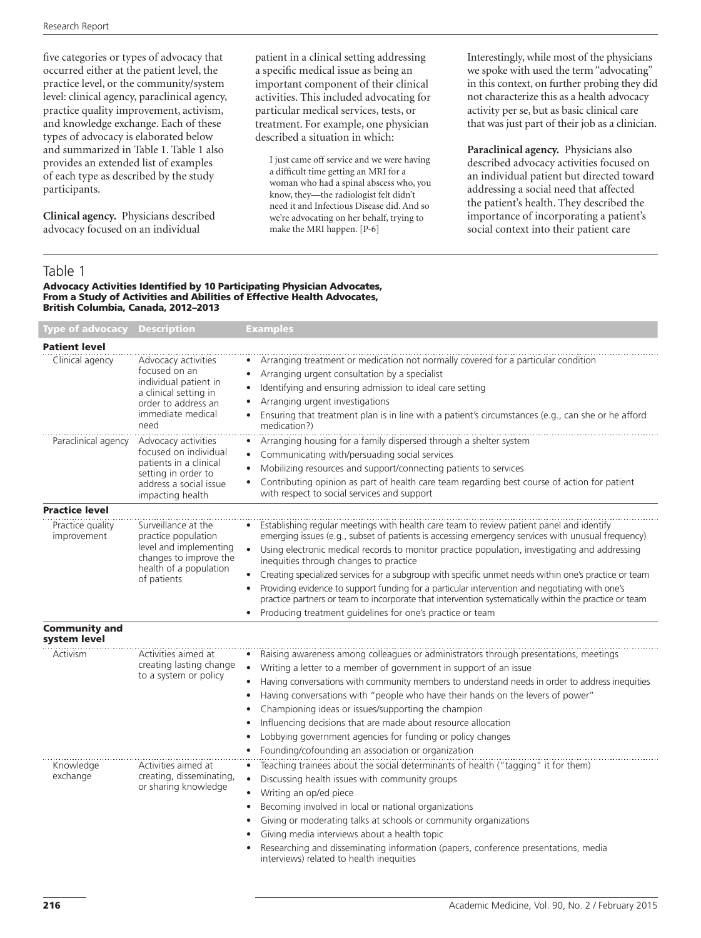five categories or types of advocacy that occurred either at the patient level, the practice level, or the community/system level: clinical agency, paraclinical agency, practice quality improvement, activism, and knowledge exchange. Each of these types of advocacy is elaborated below and summarized in Table 1. Table 1 also provides an extended list of examples of each type as described by the study participants.

**Clinical agency.** Physicians described advocacy focused on an individual

patient in a clinical setting addressing a specific medical issue as being an important component of their clinical activities. This included advocating for particular medical services, tests, or treatment. For example, one physician described a situation in which:

I just came off service and we were having a difficult time getting an MRI for a woman who had a spinal abscess who, you know, they—the radiologist felt didn't need it and Infectious Disease did. And so we're advocating on her behalf, trying to make the MRI happen. [P-6]

Interestingly, while most of the physicians we spoke with used the term "advocating" in this context, on further probing they did not characterize this as a health advocacy activity per se, but as basic clinical care that was just part of their job as a clinician.

**Paraclinical agency.** Physicians also described advocacy activities focused on an individual patient but directed toward addressing a social need that affected the patient's health. They described the importance of incorporating a patient's social context into their patient care

### Table 1

Advocacy Activities Identified by 10 Participating Physician Advocates, From a Study of Activities and Abilities of Effective Health Advocates, British Columbia, Canada, 2012–2013

| Type of advocacy                     | <b>Description</b>                                                                                                                          | Examples                                                                                                                                                                                                                                                                                                                                                                                                                                                                                                                                                                                                                                                                                                                 |
|--------------------------------------|---------------------------------------------------------------------------------------------------------------------------------------------|--------------------------------------------------------------------------------------------------------------------------------------------------------------------------------------------------------------------------------------------------------------------------------------------------------------------------------------------------------------------------------------------------------------------------------------------------------------------------------------------------------------------------------------------------------------------------------------------------------------------------------------------------------------------------------------------------------------------------|
| <b>Patient level</b>                 |                                                                                                                                             |                                                                                                                                                                                                                                                                                                                                                                                                                                                                                                                                                                                                                                                                                                                          |
| Clinical agency                      | Advocacy activities<br>focused on an<br>individual patient in<br>a clinical setting in<br>order to address an<br>immediate medical<br>need  | Arranging treatment or medication not normally covered for a particular condition<br>Arranging urgent consultation by a specialist<br>Identifying and ensuring admission to ideal care setting<br>Arranging urgent investigations<br>Ensuring that treatment plan is in line with a patient's circumstances (e.g., can she or he afford<br>medication?)                                                                                                                                                                                                                                                                                                                                                                  |
| Paraclinical agency                  | Advocacy activities<br>focused on individual<br>patients in a clinical<br>setting in order to<br>address a social issue<br>impacting health | Arranging housing for a family dispersed through a shelter system<br>Communicating with/persuading social services<br>Mobilizing resources and support/connecting patients to services<br>Contributing opinion as part of health care team regarding best course of action for patient<br>with respect to social services and support                                                                                                                                                                                                                                                                                                                                                                                    |
| <b>Practice level</b>                |                                                                                                                                             |                                                                                                                                                                                                                                                                                                                                                                                                                                                                                                                                                                                                                                                                                                                          |
| Practice quality<br>improvement      | Surveillance at the<br>practice population<br>level and implementing<br>changes to improve the<br>health of a population<br>of patients     | Establishing regular meetings with health care team to review patient panel and identify<br>emerging issues (e.g., subset of patients is accessing emergency services with unusual frequency)<br>Using electronic medical records to monitor practice population, investigating and addressing<br>inequities through changes to practice<br>Creating specialized services for a subgroup with specific unmet needs within one's practice or team<br>Providing evidence to support funding for a particular intervention and negotiating with one's<br>practice partners or team to incorporate that intervention systematically within the practice or team<br>Producing treatment guidelines for one's practice or team |
| <b>Community and</b><br>system level |                                                                                                                                             |                                                                                                                                                                                                                                                                                                                                                                                                                                                                                                                                                                                                                                                                                                                          |
| Activism                             | Activities aimed at<br>creating lasting change<br>to a system or policy                                                                     | Raising awareness among colleagues or administrators through presentations, meetings<br>Writing a letter to a member of government in support of an issue<br>$\bullet$<br>Having conversations with community members to understand needs in order to address inequities<br>Having conversations with "people who have their hands on the levers of power"<br>Championing ideas or issues/supporting the champion<br>Influencing decisions that are made about resource allocation<br>Lobbying government agencies for funding or policy changes<br>Founding/cofounding an association or organization                                                                                                                   |
| Knowledge<br>exchange                | Activities aimed at<br>creating, disseminating,<br>or sharing knowledge                                                                     | Teaching trainees about the social determinants of health ("tagging" it for them)<br>Discussing health issues with community groups<br>$\bullet$<br>Writing an op/ed piece<br>Becoming involved in local or national organizations<br>$\bullet$<br>Giving or moderating talks at schools or community organizations<br>Giving media interviews about a health topic<br>Researching and disseminating information (papers, conference presentations, media<br>interviews) related to health inequities                                                                                                                                                                                                                    |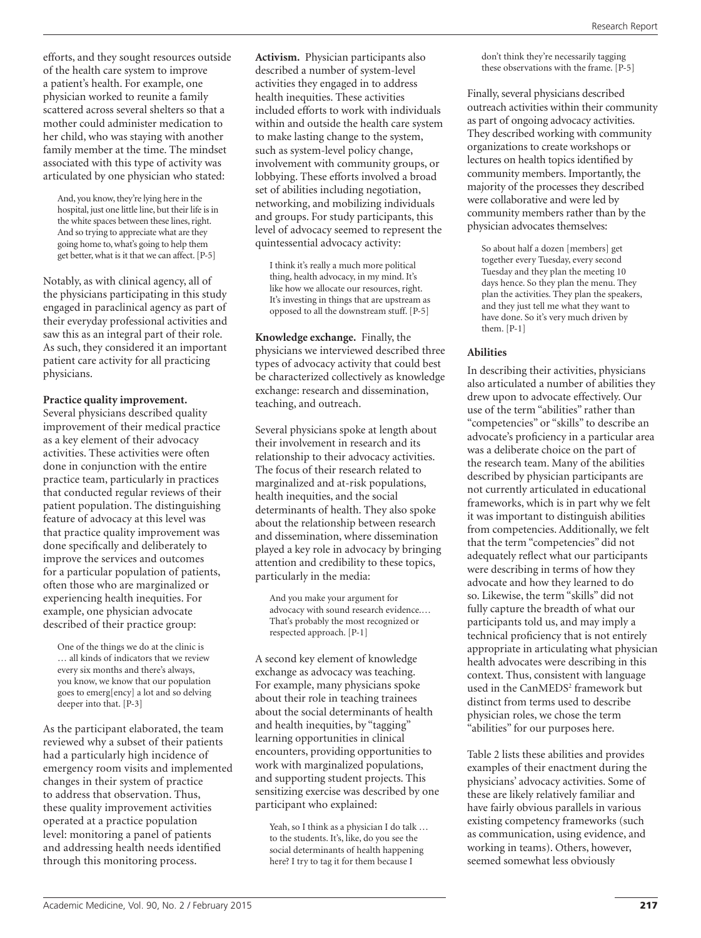efforts, and they sought resources outside of the health care system to improve a patient's health. For example, one physician worked to reunite a family scattered across several shelters so that a mother could administer medication to her child, who was staying with another family member at the time. The mindset associated with this type of activity was articulated by one physician who stated:

And, you know, they're lying here in the hospital, just one little line, but their life is in the white spaces between these lines, right. And so trying to appreciate what are they going home to, what's going to help them get better, what is it that we can affect. [P-5]

Notably, as with clinical agency, all of the physicians participating in this study engaged in paraclinical agency as part of their everyday professional activities and saw this as an integral part of their role. As such, they considered it an important patient care activity for all practicing physicians.

#### **Practice quality improvement.**

Several physicians described quality improvement of their medical practice as a key element of their advocacy activities. These activities were often done in conjunction with the entire practice team, particularly in practices that conducted regular reviews of their patient population. The distinguishing feature of advocacy at this level was that practice quality improvement was done specifically and deliberately to improve the services and outcomes for a particular population of patients, often those who are marginalized or experiencing health inequities. For example, one physician advocate described of their practice group:

One of the things we do at the clinic is … all kinds of indicators that we review every six months and there's always, you know, we know that our population goes to emerg[ency] a lot and so delving deeper into that. [P-3]

As the participant elaborated, the team reviewed why a subset of their patients had a particularly high incidence of emergency room visits and implemented changes in their system of practice to address that observation. Thus, these quality improvement activities operated at a practice population level: monitoring a panel of patients and addressing health needs identified through this monitoring process.

**Activism.** Physician participants also described a number of system-level activities they engaged in to address health inequities. These activities included efforts to work with individuals within and outside the health care system to make lasting change to the system, such as system-level policy change, involvement with community groups, or lobbying. These efforts involved a broad set of abilities including negotiation, networking, and mobilizing individuals and groups. For study participants, this level of advocacy seemed to represent the quintessential advocacy activity:

I think it's really a much more political thing, health advocacy, in my mind. It's like how we allocate our resources, right. It's investing in things that are upstream as opposed to all the downstream stuff. [P-5]

**Knowledge exchange.** Finally, the physicians we interviewed described three types of advocacy activity that could best be characterized collectively as knowledge exchange: research and dissemination, teaching, and outreach.

Several physicians spoke at length about their involvement in research and its relationship to their advocacy activities. The focus of their research related to marginalized and at-risk populations, health inequities, and the social determinants of health. They also spoke about the relationship between research and dissemination, where dissemination played a key role in advocacy by bringing attention and credibility to these topics, particularly in the media:

And you make your argument for advocacy with sound research evidence.… That's probably the most recognized or respected approach. [P-1]

A second key element of knowledge exchange as advocacy was teaching. For example, many physicians spoke about their role in teaching trainees about the social determinants of health and health inequities, by "tagging" learning opportunities in clinical encounters, providing opportunities to work with marginalized populations, and supporting student projects. This sensitizing exercise was described by one participant who explained:

Yeah, so I think as a physician I do talk ... to the students. It's, like, do you see the social determinants of health happening here? I try to tag it for them because I

don't think they're necessarily tagging these observations with the frame. [P-5]

Finally, several physicians described outreach activities within their community as part of ongoing advocacy activities. They described working with community organizations to create workshops or lectures on health topics identified by community members. Importantly, the majority of the processes they described were collaborative and were led by community members rather than by the physician advocates themselves:

So about half a dozen [members] get together every Tuesday, every second Tuesday and they plan the meeting 10 days hence. So they plan the menu. They plan the activities. They plan the speakers, and they just tell me what they want to have done. So it's very much driven by them. [P-1]

#### **Abilities**

In describing their activities, physicians also articulated a number of abilities they drew upon to advocate effectively. Our use of the term "abilities" rather than "competencies" or "skills" to describe an advocate's proficiency in a particular area was a deliberate choice on the part of the research team. Many of the abilities described by physician participants are not currently articulated in educational frameworks, which is in part why we felt it was important to distinguish abilities from competencies. Additionally, we felt that the term "competencies" did not adequately reflect what our participants were describing in terms of how they advocate and how they learned to do so. Likewise, the term "skills" did not fully capture the breadth of what our participants told us, and may imply a technical proficiency that is not entirely appropriate in articulating what physician health advocates were describing in this context. Thus, consistent with language used in the CanMEDS<sup>2</sup> framework but distinct from terms used to describe physician roles, we chose the term "abilities" for our purposes here.

Table 2 lists these abilities and provides examples of their enactment during the physicians' advocacy activities. Some of these are likely relatively familiar and have fairly obvious parallels in various existing competency frameworks (such as communication, using evidence, and working in teams). Others, however, seemed somewhat less obviously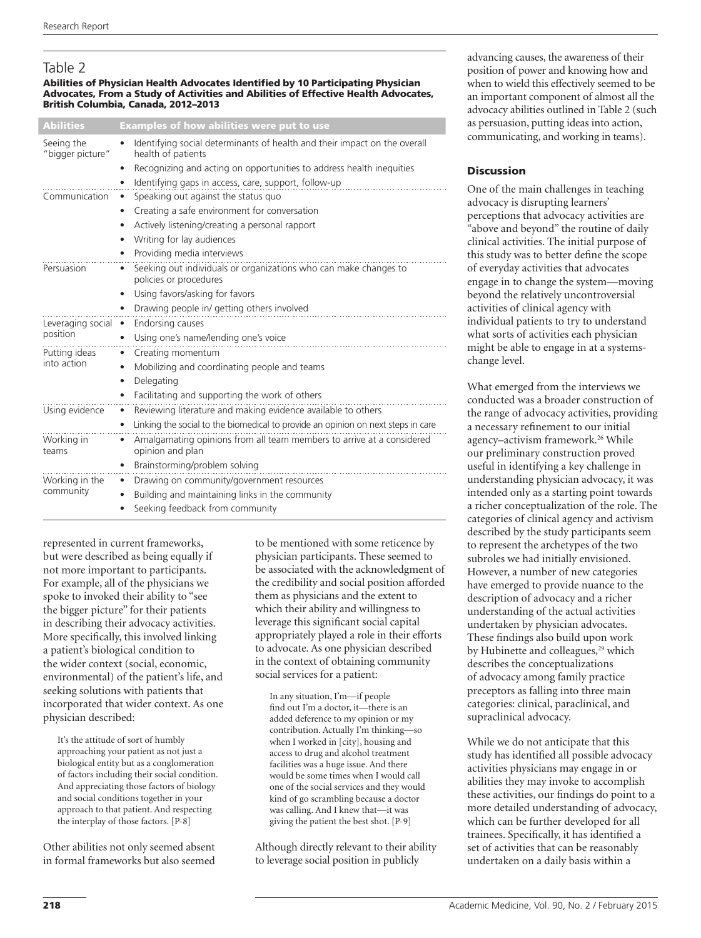## Table 2

#### Abilities of Physician Health Advocates Identified by 10 Participating Physician Advocates, From a Study of Activities and Abilities of Effective Health Advocates, British Columbia, Canada, 2012–2013

| <b>Abilities</b>               | <b>Examples of how abilities were put to use</b>                                                |  |  |
|--------------------------------|-------------------------------------------------------------------------------------------------|--|--|
| Seeing the<br>"bigger picture" | Identifying social determinants of health and their impact on the overall<br>health of patients |  |  |
|                                | Recognizing and acting on opportunities to address health inequities                            |  |  |
|                                | Identifying gaps in access, care, support, follow-up                                            |  |  |
| Communication                  | Speaking out against the status quo<br>$\bullet$                                                |  |  |
|                                | Creating a safe environment for conversation                                                    |  |  |
|                                | Actively listening/creating a personal rapport                                                  |  |  |
|                                | Writing for lay audiences<br>٠                                                                  |  |  |
|                                | Providing media interviews                                                                      |  |  |
| Persuasion                     | Seeking out individuals or organizations who can make changes to<br>policies or procedures      |  |  |
|                                | Using favors/asking for favors                                                                  |  |  |
|                                | Drawing people in/ getting others involved                                                      |  |  |
| Leveraging social<br>position  | Endorsing causes<br>$\bullet$                                                                   |  |  |
|                                | Using one's name/lending one's voice                                                            |  |  |
| Putting ideas<br>into action   | Creating momentum                                                                               |  |  |
|                                | Mobilizing and coordinating people and teams                                                    |  |  |
|                                | Delegating                                                                                      |  |  |
|                                | Facilitating and supporting the work of others                                                  |  |  |
| Using evidence                 | Reviewing literature and making evidence available to others<br>$\bullet$                       |  |  |
|                                | Linking the social to the biomedical to provide an opinion on next steps in care                |  |  |
| Working in<br>teams            | Amalgamating opinions from all team members to arrive at a considered<br>opinion and plan       |  |  |
|                                | Brainstorming/problem solving                                                                   |  |  |
| Working in the<br>community    | Drawing on community/government resources                                                       |  |  |
|                                | Building and maintaining links in the community                                                 |  |  |
|                                | Seeking feedback from community                                                                 |  |  |
|                                |                                                                                                 |  |  |

represented in current frameworks, but were described as being equally if not more important to participants. For example, all of the physicians we spoke to invoked their ability to "see the bigger picture" for their patients in describing their advocacy activities. More specifically, this involved linking a patient's biological condition to the wider context (social, economic, environmental) of the patient's life, and seeking solutions with patients that incorporated that wider context. As one physician described:

It's the attitude of sort of humbly approaching your patient as not just a biological entity but as a conglomeration of factors including their social condition. And appreciating those factors of biology and social conditions together in your approach to that patient. And respecting the interplay of those factors. [P-8]

Other abilities not only seemed absent in formal frameworks but also seemed to be mentioned with some reticence by physician participants. These seemed to be associated with the acknowledgment of the credibility and social position afforded them as physicians and the extent to which their ability and willingness to leverage this significant social capital appropriately played a role in their efforts to advocate. As one physician described in the context of obtaining community social services for a patient:

In any situation, I'm—if people find out I'm a doctor, it—there is an added deference to my opinion or my contribution. Actually I'm thinking—so when I worked in [city], housing and access to drug and alcohol treatment facilities was a huge issue. And there would be some times when I would call one of the social services and they would kind of go scrambling because a doctor was calling. And I knew that—it was giving the patient the best shot. [P-9]

Although directly relevant to their ability to leverage social position in publicly

advancing causes, the awareness of their position of power and knowing how and when to wield this effectively seemed to be an important component of almost all the advocacy abilities outlined in Table 2 (such as persuasion, putting ideas into action, communicating, and working in teams).

### **Discussion**

One of the main challenges in teaching advocacy is disrupting learners' perceptions that advocacy activities are "above and beyond" the routine of daily clinical activities. The initial purpose of this study was to better define the scope of everyday activities that advocates engage in to change the system—moving beyond the relatively uncontroversial activities of clinical agency with individual patients to try to understand what sorts of activities each physician might be able to engage in at a systemschange level.

What emerged from the interviews we conducted was a broader construction of the range of advocacy activities, providing a necessary refinement to our initial agency-activism framework.<sup>26</sup> While our preliminary construction proved useful in identifying a key challenge in understanding physician advocacy, it was intended only as a starting point towards a richer conceptualization of the role. The categories of clinical agency and activism described by the study participants seem to represent the archetypes of the two subroles we had initially envisioned. However, a number of new categories have emerged to provide nuance to the description of advocacy and a richer understanding of the actual activities undertaken by physician advocates. These findings also build upon work by Hubinette and colleagues,<sup>29</sup> which describes the conceptualizations of advocacy among family practice preceptors as falling into three main categories: clinical, paraclinical, and supraclinical advocacy.

While we do not anticipate that this study has identified all possible advocacy activities physicians may engage in or abilities they may invoke to accomplish these activities, our findings do point to a more detailed understanding of advocacy, which can be further developed for all trainees. Specifically, it has identified a set of activities that can be reasonably undertaken on a daily basis within a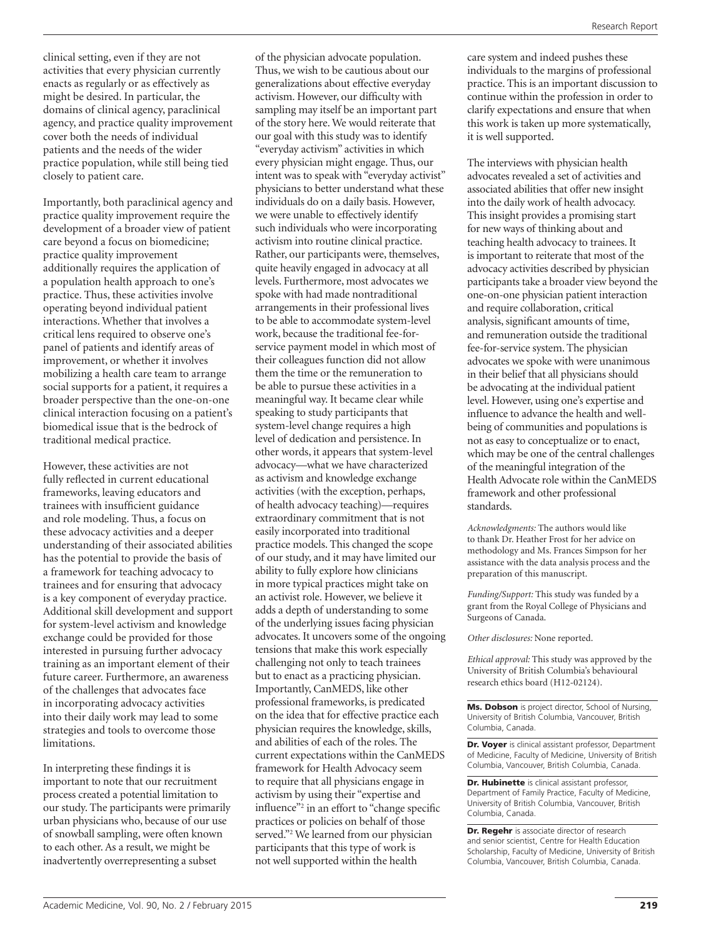clinical setting, even if they are not activities that every physician currently enacts as regularly or as effectively as might be desired. In particular, the domains of clinical agency, paraclinical agency, and practice quality improvement cover both the needs of individual patients and the needs of the wider practice population, while still being tied closely to patient care.

Importantly, both paraclinical agency and practice quality improvement require the development of a broader view of patient care beyond a focus on biomedicine; practice quality improvement additionally requires the application of a population health approach to one's practice. Thus, these activities involve operating beyond individual patient interactions. Whether that involves a critical lens required to observe one's panel of patients and identify areas of improvement, or whether it involves mobilizing a health care team to arrange social supports for a patient, it requires a broader perspective than the one-on-one clinical interaction focusing on a patient's biomedical issue that is the bedrock of traditional medical practice.

However, these activities are not fully reflected in current educational frameworks, leaving educators and trainees with insufficient guidance and role modeling. Thus, a focus on these advocacy activities and a deeper understanding of their associated abilities has the potential to provide the basis of a framework for teaching advocacy to trainees and for ensuring that advocacy is a key component of everyday practice. Additional skill development and support for system-level activism and knowledge exchange could be provided for those interested in pursuing further advocacy training as an important element of their future career. Furthermore, an awareness of the challenges that advocates face in incorporating advocacy activities into their daily work may lead to some strategies and tools to overcome those limitations.

In interpreting these findings it is important to note that our recruitment process created a potential limitation to our study. The participants were primarily urban physicians who, because of our use of snowball sampling, were often known to each other. As a result, we might be inadvertently overrepresenting a subset

of the physician advocate population. Thus, we wish to be cautious about our generalizations about effective everyday activism. However, our difficulty with sampling may itself be an important part of the story here. We would reiterate that our goal with this study was to identify "everyday activism" activities in which every physician might engage. Thus, our intent was to speak with "everyday activist" physicians to better understand what these individuals do on a daily basis. However, we were unable to effectively identify such individuals who were incorporating activism into routine clinical practice. Rather, our participants were, themselves, quite heavily engaged in advocacy at all levels. Furthermore, most advocates we spoke with had made nontraditional arrangements in their professional lives to be able to accommodate system-level work, because the traditional fee-forservice payment model in which most of their colleagues function did not allow them the time or the remuneration to be able to pursue these activities in a meaningful way. It became clear while speaking to study participants that system-level change requires a high level of dedication and persistence. In other words, it appears that system-level advocacy—what we have characterized as activism and knowledge exchange activities (with the exception, perhaps, of health advocacy teaching)—requires extraordinary commitment that is not easily incorporated into traditional practice models. This changed the scope of our study, and it may have limited our ability to fully explore how clinicians in more typical practices might take on an activist role. However, we believe it adds a depth of understanding to some of the underlying issues facing physician advocates. It uncovers some of the ongoing tensions that make this work especially challenging not only to teach trainees but to enact as a practicing physician. Importantly, CanMEDS, like other professional frameworks, is predicated on the idea that for effective practice each physician requires the knowledge, skills, and abilities of each of the roles. The current expectations within the CanMEDS framework for Health Advocacy seem to require that all physicians engage in activism by using their "expertise and influence"2 in an effort to "change specific practices or policies on behalf of those served."2 We learned from our physician participants that this type of work is not well supported within the health

care system and indeed pushes these individuals to the margins of professional practice. This is an important discussion to continue within the profession in order to clarify expectations and ensure that when this work is taken up more systematically, it is well supported.

The interviews with physician health advocates revealed a set of activities and associated abilities that offer new insight into the daily work of health advocacy. This insight provides a promising start for new ways of thinking about and teaching health advocacy to trainees. It is important to reiterate that most of the advocacy activities described by physician participants take a broader view beyond the one-on-one physician patient interaction and require collaboration, critical analysis, significant amounts of time, and remuneration outside the traditional fee-for-service system. The physician advocates we spoke with were unanimous in their belief that all physicians should be advocating at the individual patient level. However, using one's expertise and influence to advance the health and wellbeing of communities and populations is not as easy to conceptualize or to enact, which may be one of the central challenges of the meaningful integration of the Health Advocate role within the CanMEDS framework and other professional standards.

*Acknowledgments:* The authors would like to thank Dr. Heather Frost for her advice on methodology and Ms. Frances Simpson for her assistance with the data analysis process and the preparation of this manuscript.

*Funding/Support:* This study was funded by a grant from the Royal College of Physicians and Surgeons of Canada.

*Other disclosures:* None reported.

*Ethical approval:* This study was approved by the University of British Columbia's behavioural research ethics board (H12-02124).

Ms. Dobson is project director, School of Nursing, University of British Columbia, Vancouver, British Columbia, Canada.

Dr. Voyer is clinical assistant professor, Department of Medicine, Faculty of Medicine, University of British Columbia, Vancouver, British Columbia, Canada.

Dr. Hubinette is clinical assistant professor, Department of Family Practice, Faculty of Medicine, University of British Columbia, Vancouver, British Columbia, Canada.

Dr. Regehr is associate director of research and senior scientist, Centre for Health Education Scholarship, Faculty of Medicine, University of British Columbia, Vancouver, British Columbia, Canada.